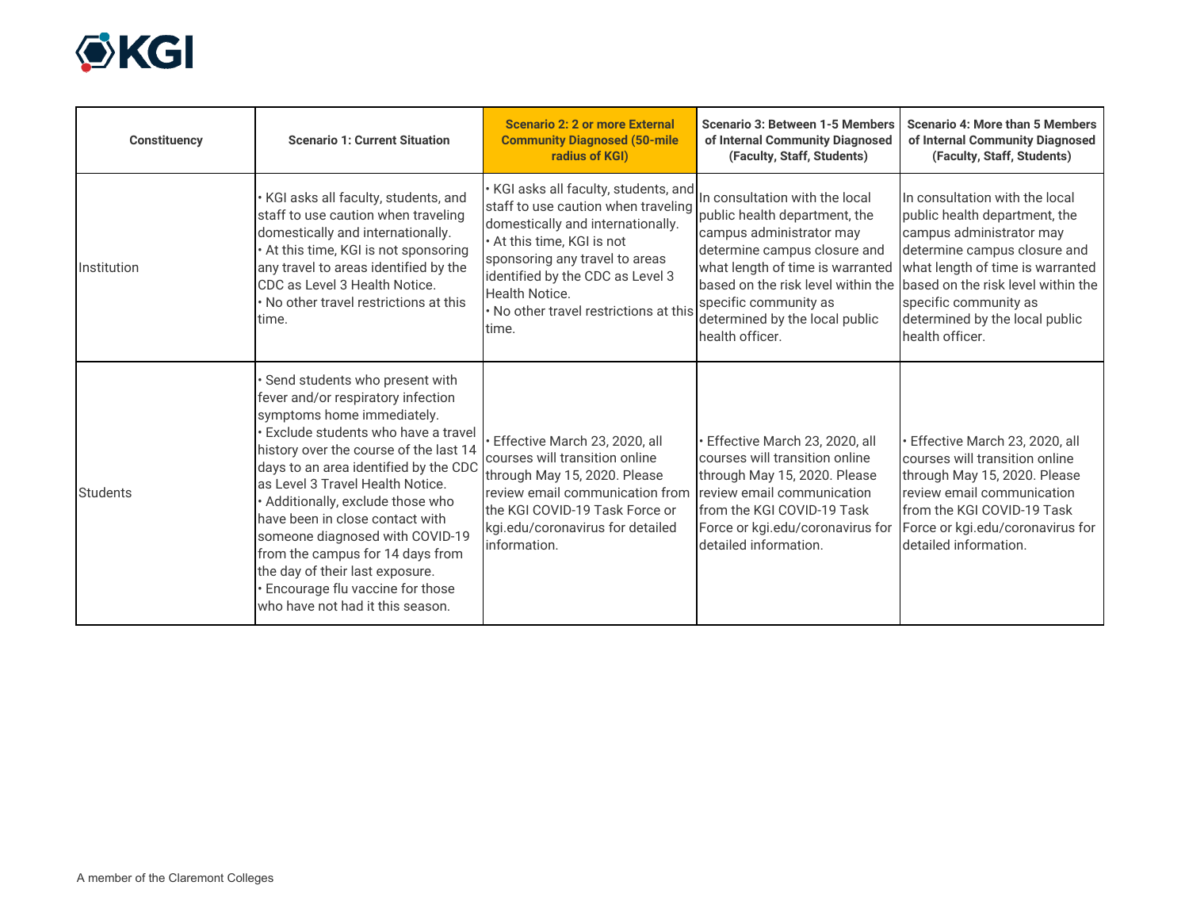

| <b>Constituency</b> | <b>Scenario 1: Current Situation</b>                                                                                                                                                                                                                                                                                                                                                                                                                                                                                   | Scenario 2: 2 or more External<br><b>Community Diagnosed (50-mile</b><br>radius of KGI)                                                                                                                                                                                                  | <b>Scenario 3: Between 1-5 Members</b><br>of Internal Community Diagnosed<br>(Faculty, Staff, Students)                                                                                                                                                                                                                | <b>Scenario 4: More than 5 Members</b><br>of Internal Community Diagnosed<br>(Faculty, Staff, Students)                                                                                                                                       |
|---------------------|------------------------------------------------------------------------------------------------------------------------------------------------------------------------------------------------------------------------------------------------------------------------------------------------------------------------------------------------------------------------------------------------------------------------------------------------------------------------------------------------------------------------|------------------------------------------------------------------------------------------------------------------------------------------------------------------------------------------------------------------------------------------------------------------------------------------|------------------------------------------------------------------------------------------------------------------------------------------------------------------------------------------------------------------------------------------------------------------------------------------------------------------------|-----------------------------------------------------------------------------------------------------------------------------------------------------------------------------------------------------------------------------------------------|
| Institution         | $\cdot$ KGI asks all faculty, students, and<br>staff to use caution when traveling<br>domestically and internationally.<br>At this time, KGI is not sponsoring<br>any travel to areas identified by the<br>CDC as Level 3 Health Notice.<br>No other travel restrictions at this<br>time.                                                                                                                                                                                                                              | KGI asks all faculty, students, and<br>staff to use caution when traveling<br>domestically and internationally.<br>• At this time, KGI is not<br>sponsoring any travel to areas<br>identified by the CDC as Level 3<br>Health Notice.<br>. No other travel restrictions at this<br>time. | In consultation with the local<br>public health department, the<br>campus administrator may<br>determine campus closure and<br>what length of time is warranted<br>based on the risk level within the based on the risk level within the<br>specific community as<br>determined by the local public<br>health officer. | In consultation with the local<br>public health department, the<br>campus administrator may<br>determine campus closure and<br>what length of time is warranted<br>specific community as<br>determined by the local public<br>health officer. |
| <b>Students</b>     | Send students who present with<br>fever and/or respiratory infection<br>symptoms home immediately.<br>Exclude students who have a travel<br>history over the course of the last 14<br>days to an area identified by the CDC<br>as Level 3 Travel Health Notice.<br>Additionally, exclude those who<br>have been in close contact with<br>someone diagnosed with COVID-19<br>from the campus for 14 days from<br>the day of their last exposure.<br>Encourage flu vaccine for those<br>who have not had it this season. | Effective March 23, 2020, all<br>courses will transition online<br>through May 15, 2020. Please<br>review email communication from<br>the KGI COVID-19 Task Force or<br>kgi.edu/coronavirus for detailed<br>information.                                                                 | Effective March 23, 2020, all<br>courses will transition online<br>through May 15, 2020. Please<br>review email communication<br>from the KGI COVID-19 Task<br>Force or kgi.edu/coronavirus for<br>detailed information.                                                                                               | · Effective March 23, 2020, all<br>courses will transition online<br>through May 15, 2020. Please<br>review email communication<br>from the KGI COVID-19 Task<br>Force or kgi.edu/coronavirus for<br>detailed information.                    |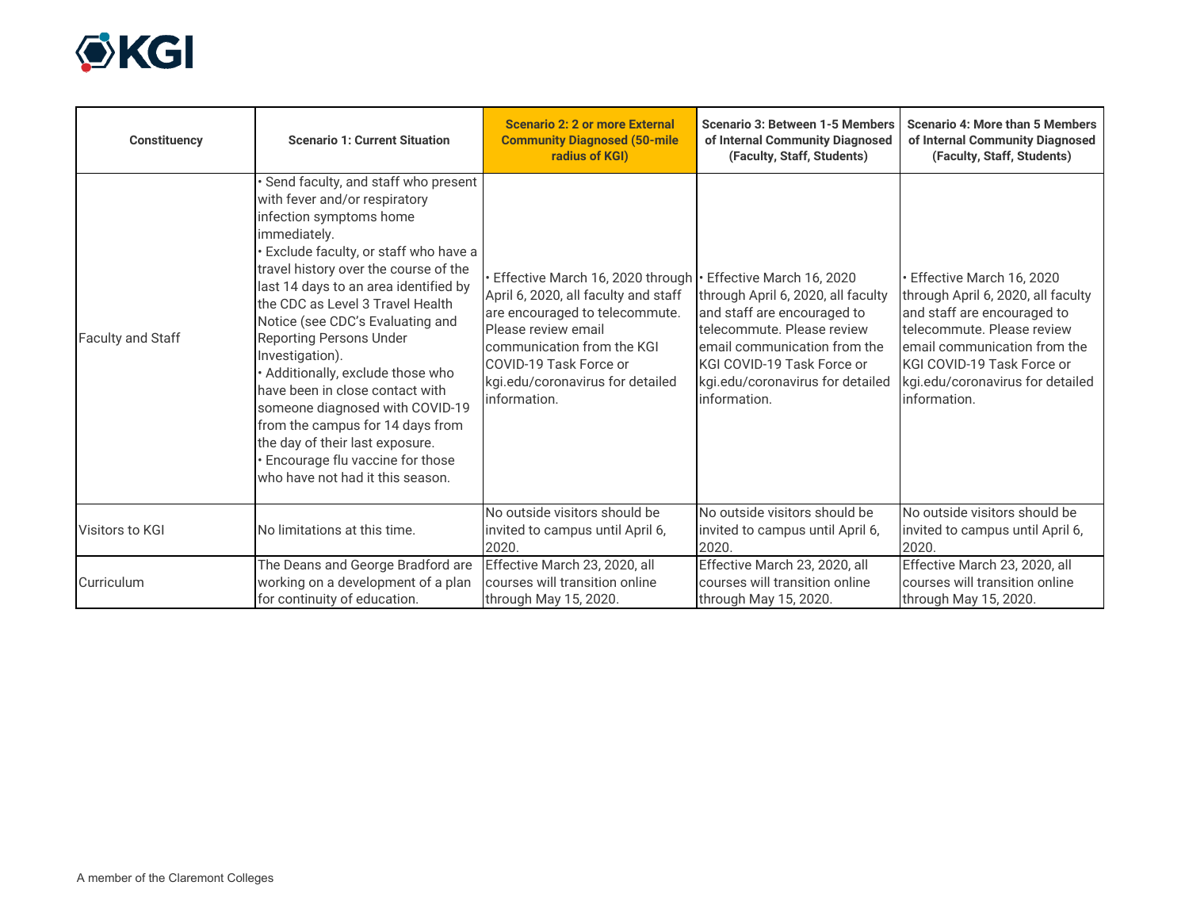

| <b>Constituency</b>      | <b>Scenario 1: Current Situation</b>                                                                                                                                                                                                                                                                                                                                                                                                                                                                                                                                                                                          | <b>Scenario 2: 2 or more External</b><br><b>Community Diagnosed (50-mile</b><br>radius of KGI)                                                                                                                                                                           | <b>Scenario 3: Between 1-5 Members</b><br>of Internal Community Diagnosed<br>(Faculty, Staff, Students)                                                                                                           | <b>Scenario 4: More than 5 Members</b><br>of Internal Community Diagnosed<br>(Faculty, Staff, Students)                                                                                                                                       |
|--------------------------|-------------------------------------------------------------------------------------------------------------------------------------------------------------------------------------------------------------------------------------------------------------------------------------------------------------------------------------------------------------------------------------------------------------------------------------------------------------------------------------------------------------------------------------------------------------------------------------------------------------------------------|--------------------------------------------------------------------------------------------------------------------------------------------------------------------------------------------------------------------------------------------------------------------------|-------------------------------------------------------------------------------------------------------------------------------------------------------------------------------------------------------------------|-----------------------------------------------------------------------------------------------------------------------------------------------------------------------------------------------------------------------------------------------|
| <b>Faculty and Staff</b> | Send faculty, and staff who present<br>with fever and/or respiratory<br>infection symptoms home<br>immediately.<br>Exclude faculty, or staff who have a<br>travel history over the course of the<br>last 14 days to an area identified by<br>the CDC as Level 3 Travel Health<br>Notice (see CDC's Evaluating and<br><b>Reporting Persons Under</b><br>Investigation).<br>Additionally, exclude those who<br>have been in close contact with<br>someone diagnosed with COVID-19<br>from the campus for 14 days from<br>the day of their last exposure.<br>Encourage flu vaccine for those<br>who have not had it this season. | Effective March 16, 2020 through   Effective March 16, 2020<br>April 6, 2020, all faculty and staff<br>are encouraged to telecommute.<br>Please review email<br>communication from the KGI<br>COVID-19 Task Force or<br>kgi.edu/coronavirus for detailed<br>information. | through April 6, 2020, all faculty<br>and staff are encouraged to<br>telecommute. Please review<br>email communication from the<br>KGI COVID-19 Task Force or<br>kgi.edu/coronavirus for detailed<br>information. | Effective March 16, 2020<br>through April 6, 2020, all faculty<br>and staff are encouraged to<br>telecommute. Please review<br>email communication from the<br>KGI COVID-19 Task Force or<br>kgi.edu/coronavirus for detailed<br>information. |
| Visitors to KGI          | No limitations at this time.                                                                                                                                                                                                                                                                                                                                                                                                                                                                                                                                                                                                  | No outside visitors should be<br>invited to campus until April 6,<br>2020.                                                                                                                                                                                               | No outside visitors should be<br>invited to campus until April 6,<br>2020.                                                                                                                                        | No outside visitors should be<br>invited to campus until April 6,<br>2020.                                                                                                                                                                    |
| Curriculum               | The Deans and George Bradford are<br>working on a development of a plan<br>for continuity of education.                                                                                                                                                                                                                                                                                                                                                                                                                                                                                                                       | Effective March 23, 2020, all<br>courses will transition online<br>through May 15, 2020.                                                                                                                                                                                 | Effective March 23, 2020, all<br>courses will transition online<br>through May 15, 2020.                                                                                                                          | Effective March 23, 2020, all<br>courses will transition online<br>through May 15, 2020.                                                                                                                                                      |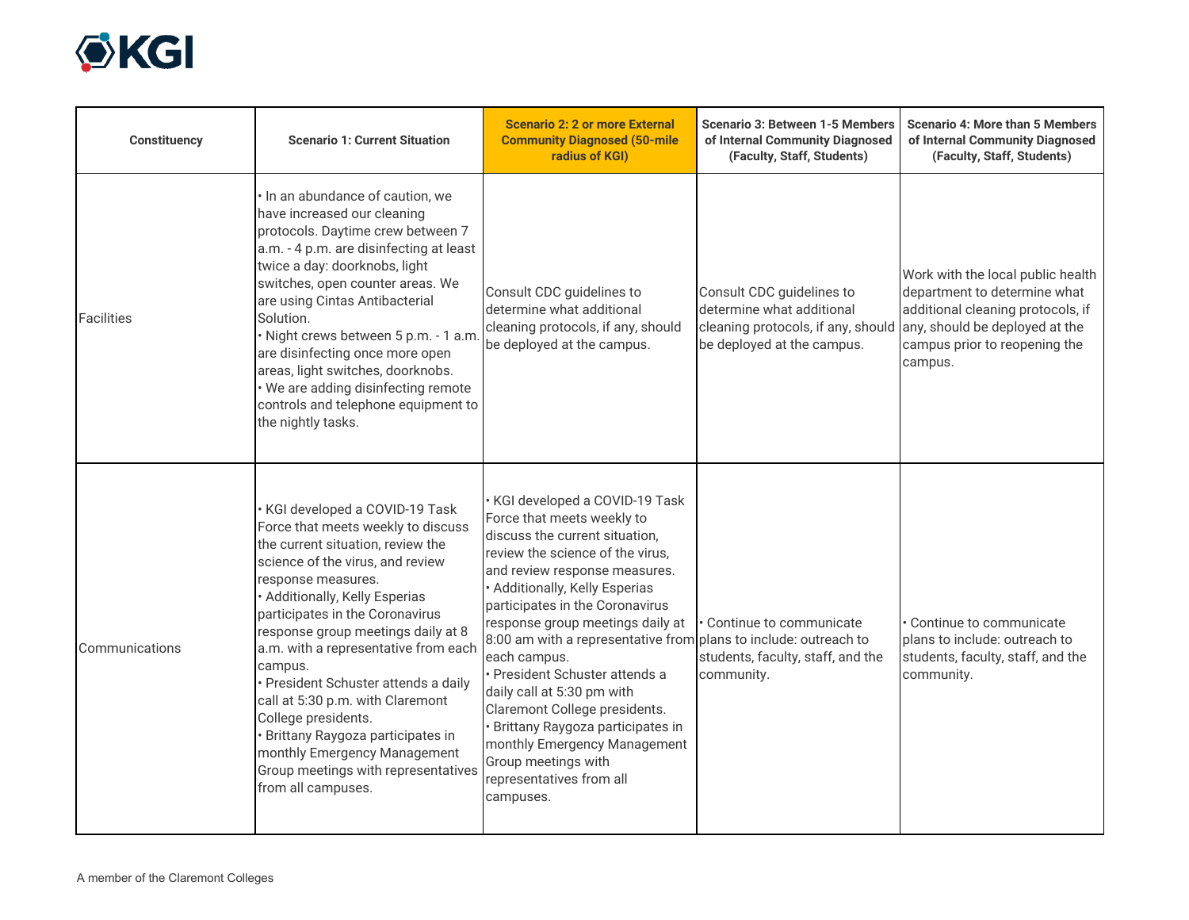

| <b>Constituency</b> | <b>Scenario 1: Current Situation</b>                                                                                                                                                                                                                                                                                                                                                                                                                                                                                                                                   | <b>Scenario 2: 2 or more External</b><br><b>Community Diagnosed (50-mile</b><br>radius of KGI)                                                                                                                                                                                                                                                                                                                                                                                                                                                                                                           | <b>Scenario 3: Between 1-5 Members</b><br>of Internal Community Diagnosed<br>(Faculty, Staff, Students)                                                   | <b>Scenario 4: More than 5 Members</b><br>of Internal Community Diagnosed<br>(Faculty, Staff, Students)                                            |
|---------------------|------------------------------------------------------------------------------------------------------------------------------------------------------------------------------------------------------------------------------------------------------------------------------------------------------------------------------------------------------------------------------------------------------------------------------------------------------------------------------------------------------------------------------------------------------------------------|----------------------------------------------------------------------------------------------------------------------------------------------------------------------------------------------------------------------------------------------------------------------------------------------------------------------------------------------------------------------------------------------------------------------------------------------------------------------------------------------------------------------------------------------------------------------------------------------------------|-----------------------------------------------------------------------------------------------------------------------------------------------------------|----------------------------------------------------------------------------------------------------------------------------------------------------|
| <b>Facilities</b>   | · In an abundance of caution, we<br>have increased our cleaning<br>protocols. Daytime crew between 7<br>a.m. - 4 p.m. are disinfecting at least<br>twice a day: doorknobs, light<br>switches, open counter areas. We<br>are using Cintas Antibacterial<br>Solution.<br>· Night crews between 5 p.m. - 1 a.m<br>are disinfecting once more open<br>areas, light switches, doorknobs.<br>• We are adding disinfecting remote<br>controls and telephone equipment to<br>the nightly tasks.                                                                                | Consult CDC guidelines to<br>determine what additional<br>cleaning protocols, if any, should<br>be deployed at the campus.                                                                                                                                                                                                                                                                                                                                                                                                                                                                               | Consult CDC guidelines to<br>determine what additional<br>cleaning protocols, if any, should any, should be deployed at the<br>be deployed at the campus. | Work with the local public health<br>department to determine what<br>additional cleaning protocols, if<br>campus prior to reopening the<br>campus. |
| Communications      | · KGI developed a COVID-19 Task<br>Force that meets weekly to discuss<br>the current situation, review the<br>science of the virus, and review<br>response measures.<br>· Additionally, Kelly Esperias<br>participates in the Coronavirus<br>response group meetings daily at 8<br>a.m. with a representative from each<br>campus.<br>· President Schuster attends a daily<br>call at 5:30 p.m. with Claremont<br>College presidents.<br>Brittany Raygoza participates in<br>monthly Emergency Management<br>Group meetings with representatives<br>from all campuses. | · KGI developed a COVID-19 Task<br>Force that meets weekly to<br>discuss the current situation,<br>review the science of the virus,<br>and review response measures.<br>· Additionally, Kelly Esperias<br>participates in the Coronavirus<br>response group meetings daily at<br>8:00 am with a representative from plans to include: outreach to<br>each campus.<br>· President Schuster attends a<br>daily call at 5:30 pm with<br>Claremont College presidents.<br>· Brittany Raygoza participates in<br>monthly Emergency Management<br>Group meetings with<br>representatives from all<br>campuses. | Continue to communicate<br>students, faculty, staff, and the<br>community.                                                                                | • Continue to communicate<br>plans to include: outreach to<br>students, faculty, staff, and the<br>community.                                      |